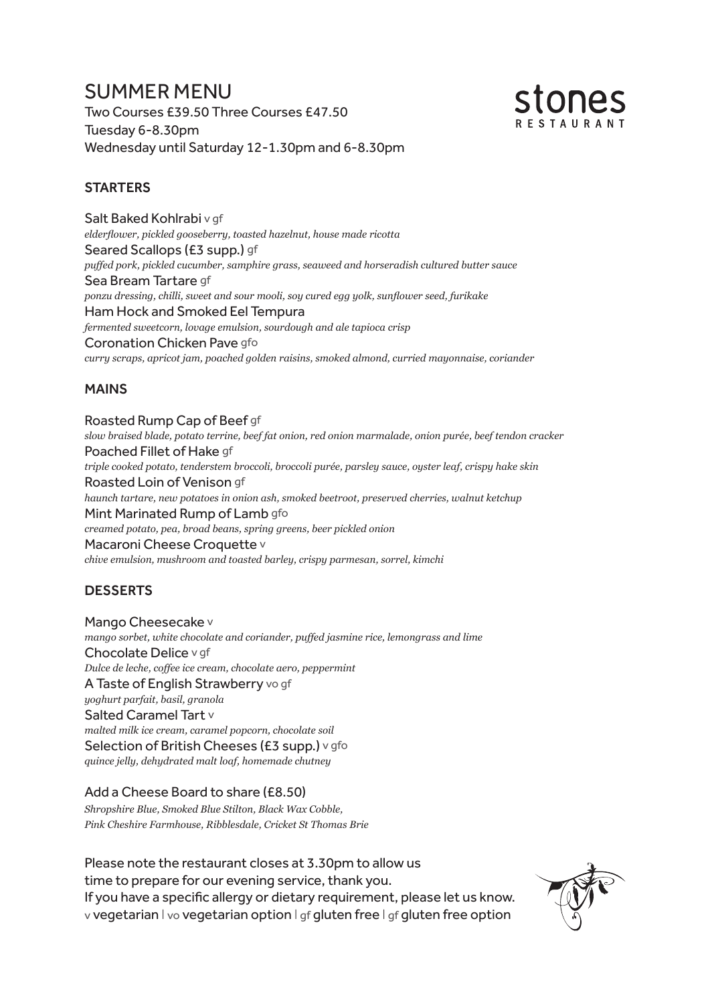# SUMMER MENU Two Courses £39.50 Three Courses £47.50 Tuesday 6-8.30pm Wednesday until Saturday 12-1.30pm and 6-8.30pm



## **STARTERS**

Salt Baked Kohlrabi v gf *elderflower, pickled gooseberry, toasted hazelnut, house made ricotta* Seared Scallops (£3 supp.) gf *puffed pork, pickled cucumber, samphire grass, seaweed and horseradish cultured butter sauce* Sea Bream Tartare gf *ponzu dressing, chilli, sweet and sour mooli, soy cured egg yolk, sunflower seed, furikake*  Ham Hock and Smoked Eel Tempura *fermented sweetcorn, lovage emulsion, sourdough and ale tapioca crisp* Coronation Chicken Pave gfo *curry scraps, apricot jam, poached golden raisins, smoked almond, curried mayonnaise, coriander*

## MAINS

Roasted Rump Cap of Beef gf *slow braised blade, potato terrine, beef fat onion, red onion marmalade, onion purée, beef tendon cracker*  Poached Fillet of Hake gf *triple cooked potato, tenderstem broccoli, broccoli purée, parsley sauce, oyster leaf, crispy hake skin* Roasted Loin of Venison gf *haunch tartare, new potatoes in onion ash, smoked beetroot, preserved cherries, walnut ketchup* Mint Marinated Rump of Lamb gfo *creamed potato, pea, broad beans, spring greens, beer pickled onion* Macaroni Cheese Croquette v *chive emulsion, mushroom and toasted barley, crispy parmesan, sorrel, kimchi*

# DESSERTS

Mango Cheesecake v *mango sorbet, white chocolate and coriander, puffed jasmine rice, lemongrass and lime* Chocolate Delice v gf *Dulce de leche, coffee ice cream, chocolate aero, peppermint* A Taste of English Strawberry vo gf *yoghurt parfait, basil, granola*  Salted Caramel Tart v *malted milk ice cream, caramel popcorn, chocolate soil* Selection of British Cheeses (£3 supp.) v gfo *quince jelly, dehydrated malt loaf, homemade chutney*

#### Add a Cheese Board to share (£8.50)

*Shropshire Blue, Smoked Blue Stilton, Black Wax Cobble, Pink Cheshire Farmhouse, Ribblesdale, Cricket St Thomas Brie*

Please note the restaurant closes at 3.30pm to allow us time to prepare for our evening service, thank you. If you have a specific allergy or dietary requirement, please let us know. v vegetarian I vo vegetarian option I gf gluten free I gf gluten free option

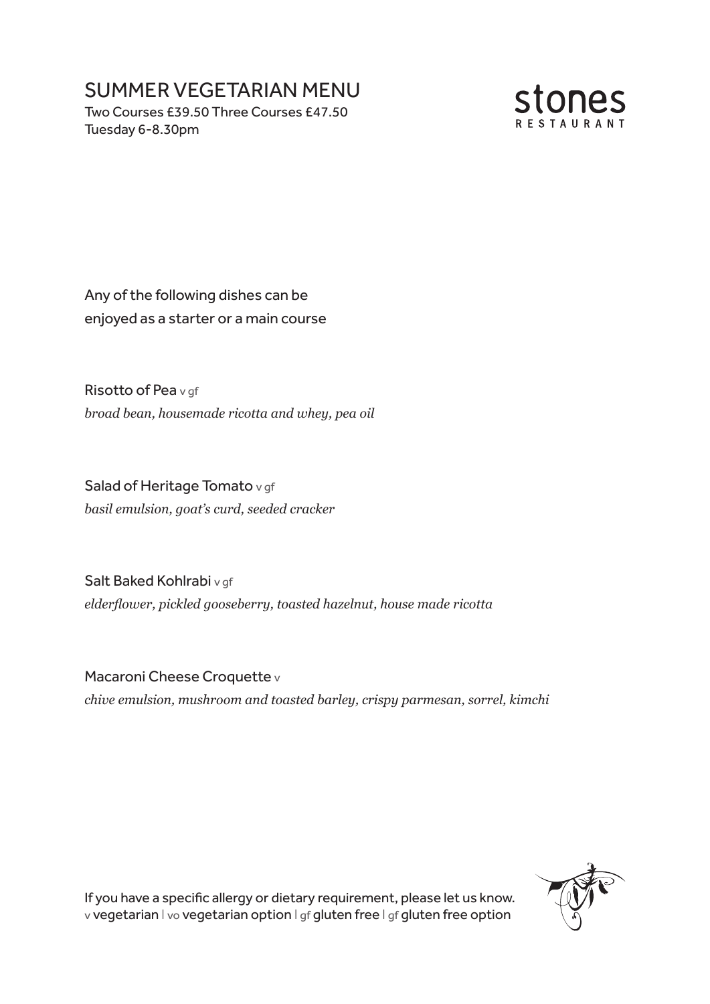# SUMMER VEGETARIAN MENU

Two Courses £39.50 Three Courses £47.50 Tuesday 6-8.30pm



Any of the following dishes can be enjoyed as a starter or a main course

Risotto of Pea v of *broad bean, housemade ricotta and whey, pea oil*

Salad of Heritage Tomato v gf *basil emulsion, goat's curd, seeded cracker*

Salt Baked Kohlrabi v gf *elderflower, pickled gooseberry, toasted hazelnut, house made ricotta*

Macaroni Cheese Croquette v *chive emulsion, mushroom and toasted barley, crispy parmesan, sorrel, kimchi*



If you have a specific allergy or dietary requirement, please let us know. v vegetarian I vo vegetarian option I gf gluten free I gf gluten free option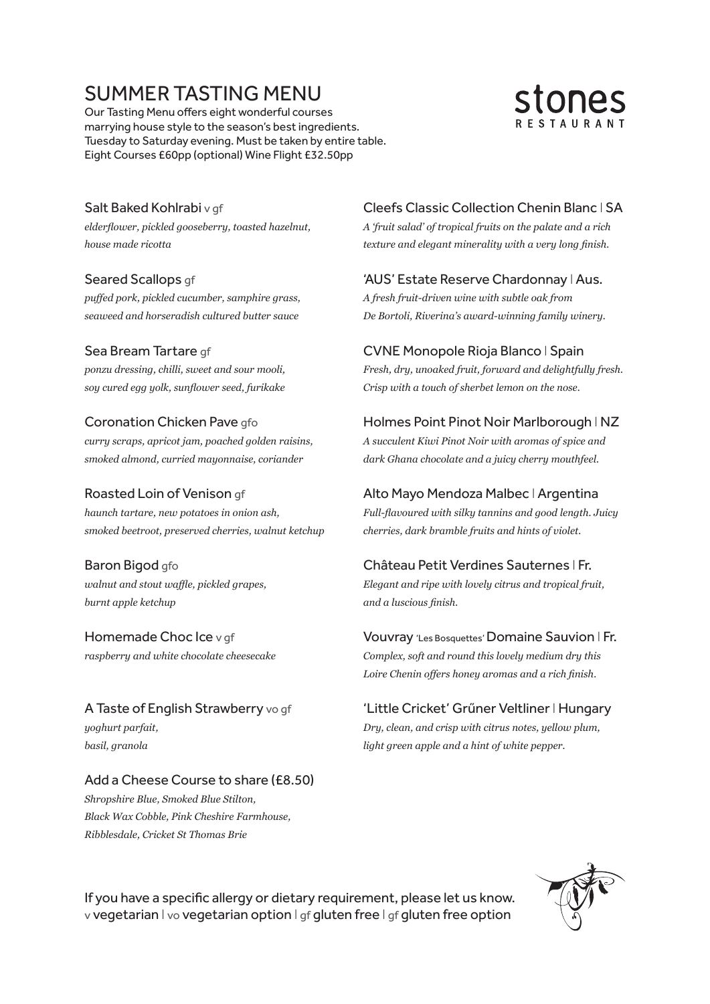# SUMMER TASTING MENU

Our Tasting Menu offers eight wonderful courses marrying house style to the season's best ingredients. Tuesday to Saturday evening. Must be taken by entire table. Eight Courses £60pp (optional) Wine Flight £32.50pp



#### Salt Baked Kohlrabi v gf

*elderflower, pickled gooseberry, toasted hazelnut, house made ricotta*

#### Seared Scallops gf

*puffed pork, pickled cucumber, samphire grass, seaweed and horseradish cultured butter sauce*

#### Sea Bream Tartare gf

*ponzu dressing, chilli, sweet and sour mooli, soy cured egg yolk, sunflower seed, furikake* 

#### Coronation Chicken Pave gfo

*curry scraps, apricot jam, poached golden raisins, smoked almond, curried mayonnaise, coriander*

#### Roasted Loin of Venison gf

*haunch tartare, new potatoes in onion ash, smoked beetroot, preserved cherries, walnut ketchup*

Baron Bigod gfo *walnut and stout waffle, pickled grapes, burnt apple ketchup*

Homemade Choc Ice v qf *raspberry and white chocolate cheesecake*

A Taste of English Strawberry vo gf *yoghurt parfait, basil, granola*

#### Add a Cheese Course to share (£8.50) *Shropshire Blue, Smoked Blue Stilton,*

*Black Wax Cobble, Pink Cheshire Farmhouse, Ribblesdale, Cricket St Thomas Brie*

### Cleefs Classic Collection Chenin Blanc I SA

*A 'fruit salad' of tropical fruits on the palate and a rich texture and elegant minerality with a very long finish.*

# 'AUS' Estate Reserve Chardonnay I Aus.

*A fresh fruit-driven wine with subtle oak from De Bortoli, Riverina's award-winning family winery.*

#### CVNE Monopole Rioja Blanco I Spain

*Fresh, dry, unoaked fruit, forward and delightfully fresh. Crisp with a touch of sherbet lemon on the nose.*

#### Holmes Point Pinot Noir Marlborough I NZ

*A succulent Kiwi Pinot Noir with aromas of spice and dark Ghana chocolate and a juicy cherry mouthfeel.*

#### Alto Mayo Mendoza Malbec I Argentina

*Full-flavoured with silky tannins and good length. Juicy cherries, dark bramble fruits and hints of violet.*

#### Château Petit Verdines Sauternes I Fr.

*Elegant and ripe with lovely citrus and tropical fruit, and a luscious finish.* 

#### Vouvray 'Les Bosquettes' Domaine Sauvion I Fr.

*Complex, soft and round this lovely medium dry this Loire Chenin offers honey aromas and a rich finish.*

#### 'Little Cricket' Grűner Veltliner I Hungary

*Dry, clean, and crisp with citrus notes, yellow plum, light green apple and a hint of white pepper.*

If you have a specific allergy or dietary requirement, please let us know. v vegetarian I vo vegetarian option I gf gluten free I gf gluten free option